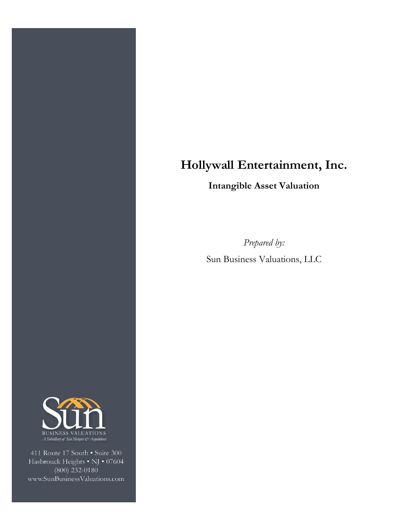# **Hollywall Entertainment, Inc.**

**Intangible Asset Valuation**

*Prepared by:* Sun Business Valuations, LLC



411 Route 17 South . Suite 300 Hasbrouck Heights • NJ • 07604  $(800)$  232-0180 www.SunBusinessValuations.com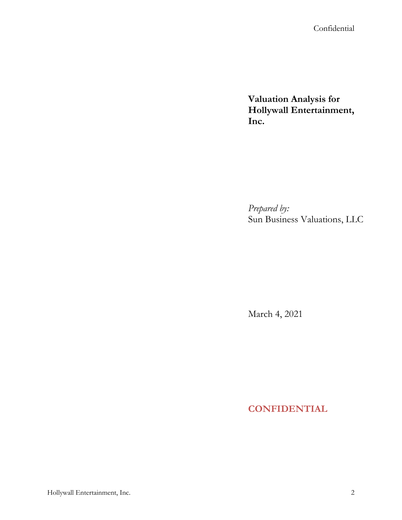Confidential

**Valuation Analysis for Hollywall Entertainment, Inc.** 

*Prepared by:* Sun Business Valuations, LLC

March 4, 2021

**CONFIDENTIAL**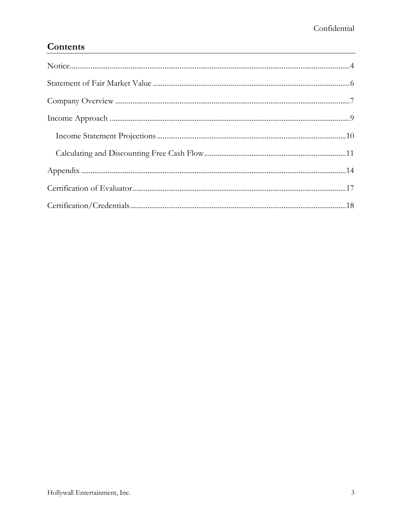### Contents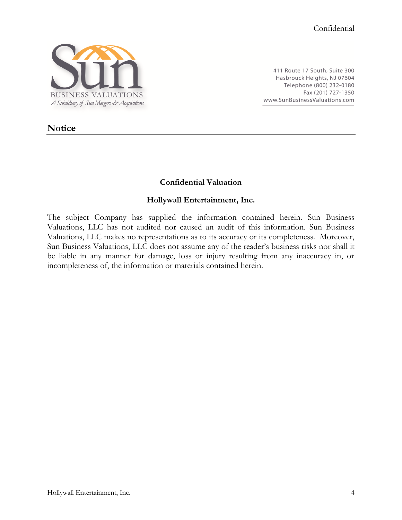

411 Route 17 South, Suite 300 Hasbrouck Heights, NJ 07604 Telephone (800) 232-0180 Fax (201) 727-1350 www.SunBusinessValuations.com

### <span id="page-3-0"></span>**Notice**

#### **Confidential Valuation**

#### **Hollywall Entertainment, Inc.**

The subject Company has supplied the information contained herein. Sun Business Valuations, LLC has not audited nor caused an audit of this information. Sun Business Valuations, LLC makes no representations as to its accuracy or its completeness. Moreover, Sun Business Valuations, LLC does not assume any of the reader's business risks nor shall it be liable in any manner for damage, loss or injury resulting from any inaccuracy in, or incompleteness of, the information or materials contained herein.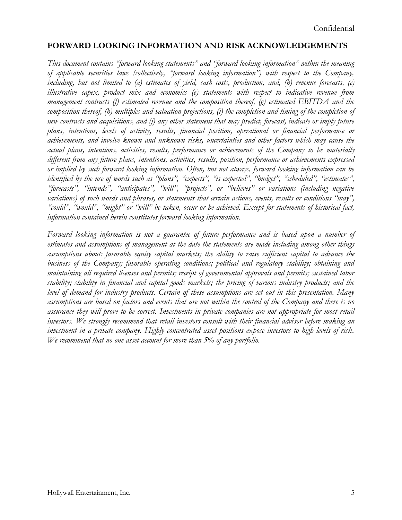#### **FORWARD LOOKING INFORMATION AND RISK ACKNOWLEDGEMENTS**

*This document contains "forward looking statements" and "forward looking information" within the meaning of applicable securities laws (collectively, "forward looking information") with respect to the Company, including, but not limited to (a) estimates of yield, cash costs, production, and, (b) revenue forecasts, (c) illustrative capex, product mix and economics (e) statements with respect to indicative revenue from management contracts (f) estimated revenue and the composition thereof, (g) estimated EBITDA and the composition thereof, (h) multiples and valuation projections, (i) the completion and timing of the completion of new contracts and acquisitions, and (j) any other statement that may predict, forecast, indicate or imply future plans, intentions, levels of activity, results, financial position, operational or financial performance or achievements, and involve known and unknown risks, uncertainties and other factors which may cause the actual plans, intentions, activities, results, performance or achievements of the Company to be materially different from any future plans, intentions, activities, results, position, performance or achievements expressed or implied by such forward looking information. Often, but not always, forward looking information can be identified by the use of words such as "plans", "expects", "is expected", "budget", "scheduled", "estimates", "forecasts", "intends", "anticipates", "will", "projects", or "believes" or variations (including negative variations) of such words and phrases, or statements that certain actions, events, results or conditions "may", "could", "would", "might" or "will" be taken, occur or be achieved. Except for statements of historical fact, information contained herein constitutes forward looking information.*

*Forward looking information is not a guarantee of future performance and is based upon a number of estimates and assumptions of management at the date the statements are made including among other things assumptions about: favorable equity capital markets; the ability to raise sufficient capital to advance the business of the Company; favorable operating conditions; political and regulatory stability; obtaining and maintaining all required licenses and permits; receipt of governmental approvals and permits; sustained labor stability; stability in financial and capital goods markets; the pricing of various industry products; and the level of demand for industry products. Certain of these assumptions are set out in this presentation. Many assumptions are based on factors and events that are not within the control of the Company and there is no assurance they will prove to be correct. Investments in private companies are not appropriate for most retail investors. We strongly recommend that retail investors consult with their financial advisor before making an investment in a private company. Highly concentrated asset positions expose investors to high levels of risk. We recommend that no one asset account for more than 5% of any portfolio.*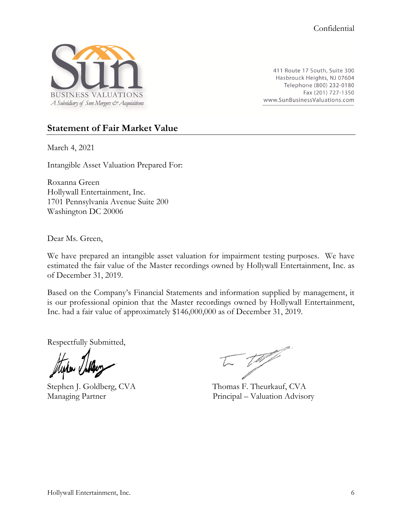

411 Route 17 South, Suite 300 Hasbrouck Heights, NJ 07604 Telephone (800) 232-0180 Fax (201) 727-1350 www.SunBusinessValuations.com

#### <span id="page-5-0"></span>**Statement of Fair Market Value**

March 4, 2021

Intangible Asset Valuation Prepared For:

Roxanna Green Hollywall Entertainment, Inc. 1701 Pennsylvania Avenue Suite 200 Washington DC 20006

Dear Ms. Green,

We have prepared an intangible asset valuation for impairment testing purposes. We have estimated the fair value of the Master recordings owned by Hollywall Entertainment, Inc. as of December 31, 2019.

Based on the Company's Financial Statements and information supplied by management, it is our professional opinion that the Master recordings owned by Hollywall Entertainment, Inc. had a fair value of approximately \$146,000,000 as of December 31, 2019.

Respectfully Submitted,

 $=$   $\sqrt{m/2}$ 

Stephen J. Goldberg, CVA Thomas F. Theurkauf, CVA Managing Partner Principal – Valuation Advisory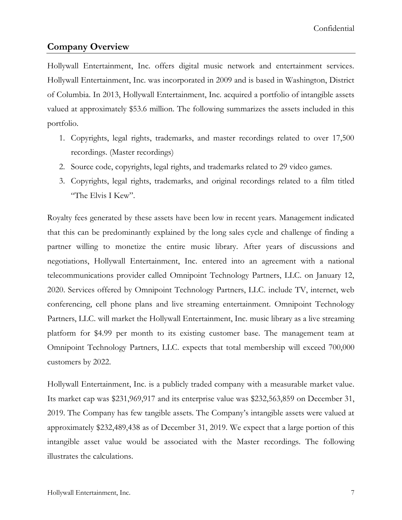#### <span id="page-6-0"></span>**Company Overview**

Hollywall Entertainment, Inc. offers digital music network and entertainment services. Hollywall Entertainment, Inc. was incorporated in 2009 and is based in Washington, District of Columbia. In 2013, Hollywall Entertainment, Inc. acquired a portfolio of intangible assets valued at approximately \$53.6 million. The following summarizes the assets included in this portfolio.

- 1. Copyrights, legal rights, trademarks, and master recordings related to over 17,500 recordings. (Master recordings)
- 2. Source code, copyrights, legal rights, and trademarks related to 29 video games.
- 3. Copyrights, legal rights, trademarks, and original recordings related to a film titled "The Elvis I Kew".

Royalty fees generated by these assets have been low in recent years. Management indicated that this can be predominantly explained by the long sales cycle and challenge of finding a partner willing to monetize the entire music library. After years of discussions and negotiations, Hollywall Entertainment, Inc. entered into an agreement with a national telecommunications provider called Omnipoint Technology Partners, LLC. on January 12, 2020. Services offered by Omnipoint Technology Partners, LLC. include TV, internet, web conferencing, cell phone plans and live streaming entertainment. Omnipoint Technology Partners, LLC. will market the Hollywall Entertainment, Inc. music library as a live streaming platform for \$4.99 per month to its existing customer base. The management team at Omnipoint Technology Partners, LLC. expects that total membership will exceed 700,000 customers by 2022.

Hollywall Entertainment, Inc. is a publicly traded company with a measurable market value. Its market cap was \$231,969,917 and its enterprise value was \$232,563,859 on December 31, 2019. The Company has few tangible assets. The Company's intangible assets were valued at approximately \$232,489,438 as of December 31, 2019. We expect that a large portion of this intangible asset value would be associated with the Master recordings. The following illustrates the calculations.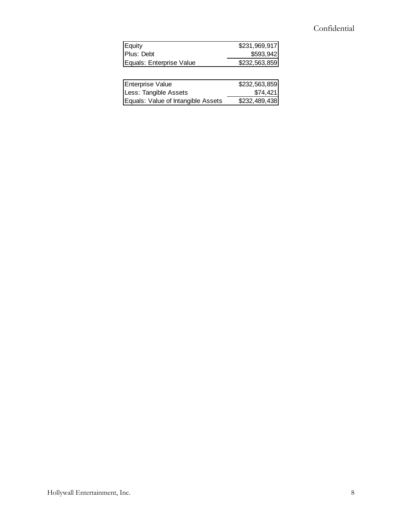### Confidential

| Equity                   | \$231,969,917 |
|--------------------------|---------------|
| Plus: Debt               | \$593,942     |
| Equals: Enterprise Value | \$232,563,859 |

| Enterprise Value                   | \$232,563,859 |
|------------------------------------|---------------|
| Less: Tangible Assets              | \$74,421      |
| Equals: Value of Intangible Assets | \$232,489,438 |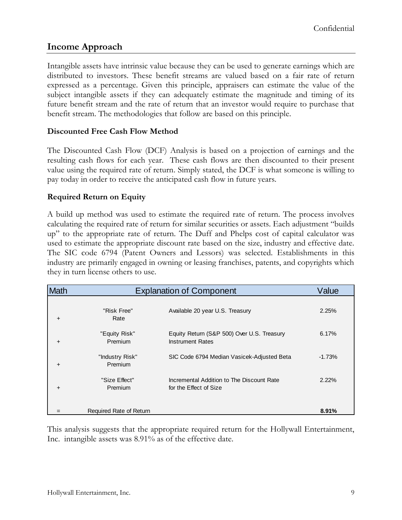### <span id="page-8-0"></span>**Income Approach**

Intangible assets have intrinsic value because they can be used to generate earnings which are distributed to investors. These benefit streams are valued based on a fair rate of return expressed as a percentage. Given this principle, appraisers can estimate the value of the subject intangible assets if they can adequately estimate the magnitude and timing of its future benefit stream and the rate of return that an investor would require to purchase that benefit stream. The methodologies that follow are based on this principle.

#### **Discounted Free Cash Flow Method**

The Discounted Cash Flow (DCF) Analysis is based on a projection of earnings and the resulting cash flows for each year. These cash flows are then discounted to their present value using the required rate of return. Simply stated, the DCF is what someone is willing to pay today in order to receive the anticipated cash flow in future years.

#### **Required Return on Equity**

A build up method was used to estimate the required rate of return. The process involves calculating the required rate of return for similar securities or assets. Each adjustment "builds up" to the appropriate rate of return. The Duff and Phelps cost of capital calculator was used to estimate the appropriate discount rate based on the size, industry and effective date. The SIC code 6794 (Patent Owners and Lessors) was selected. Establishments in this industry are primarily engaged in owning or leasing franchises, patents, and copyrights which they in turn license others to use.

| <b>Math</b> | <b>Explanation of Component</b> | Value                                                                 |          |
|-------------|---------------------------------|-----------------------------------------------------------------------|----------|
| $\ddot{}$   | "Risk Free"<br>Rate             | Available 20 year U.S. Treasury                                       | 2.25%    |
| $\ddot{}$   | "Equity Risk"<br>Premium        | Equity Return (S&P 500) Over U.S. Treasury<br><b>Instrument Rates</b> | 6.17%    |
| $\ddot{}$   | "Industry Risk"<br>Premium      | SIC Code 6794 Median Vasicek-Adjusted Beta                            | $-1.73%$ |
| $\ddot{}$   | "Size Effect"<br>Premium        | Incremental Addition to The Discount Rate<br>for the Effect of Size   | 2.22%    |
|             | Required Rate of Return         |                                                                       | $8.91\%$ |

This analysis suggests that the appropriate required return for the Hollywall Entertainment, Inc. intangible assets was 8.91% as of the effective date.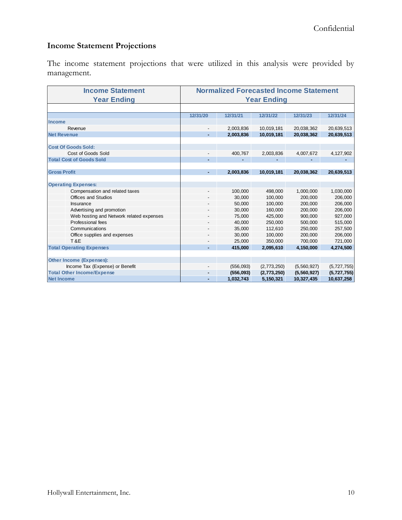### <span id="page-9-0"></span>**Income Statement Projections**

The income statement projections that were utilized in this analysis were provided by management.

| <b>Income Statement</b>                  | <b>Normalized Forecasted Income Statement</b> |           |             |             |             |
|------------------------------------------|-----------------------------------------------|-----------|-------------|-------------|-------------|
| <b>Year Ending</b>                       | <b>Year Ending</b>                            |           |             |             |             |
|                                          |                                               |           |             |             |             |
|                                          | 12/31/20                                      | 12/31/21  | 12/31/22    | 12/31/23    | 12/31/24    |
| <b>Income</b>                            |                                               |           |             |             |             |
| Revenue                                  | $\overline{\phantom{a}}$                      | 2,003,836 | 10,019,181  | 20,038,362  | 20,639,513  |
| <b>Net Revenue</b>                       |                                               | 2,003,836 | 10,019,181  | 20,038,362  | 20,639,513  |
|                                          |                                               |           |             |             |             |
| <b>Cost Of Goods Sold:</b>               |                                               |           |             |             |             |
| Cost of Goods Sold                       |                                               | 400,767   | 2,003,836   | 4,007,672   | 4,127,902   |
| <b>Total Cost of Goods Sold</b>          |                                               |           |             |             |             |
|                                          |                                               |           |             |             |             |
| <b>Gross Profit</b>                      |                                               | 2,003,836 | 10,019,181  | 20.038.362  | 20,639,513  |
|                                          |                                               |           |             |             |             |
| <b>Operating Expenses:</b>               |                                               |           |             |             |             |
| Compensation and related taxes           | $\overline{\phantom{a}}$                      | 100,000   | 498,000     | 1,000,000   | 1,030,000   |
| <b>Offices and Studios</b>               |                                               | 30,000    | 100,000     | 200,000     | 206,000     |
| Insurance                                |                                               | 50,000    | 100,000     | 200,000     | 206,000     |
| Advertising and promotion                |                                               | 30,000    | 160,000     | 200,000     | 206,000     |
| Web hosting and Network related expenses |                                               | 75,000    | 425,000     | 900,000     | 927,000     |
| Professional fees                        |                                               | 40,000    | 250.000     | 500.000     | 515,000     |
| Communications                           |                                               | 35,000    | 112,610     | 250,000     | 257,500     |
| Office supplies and expenses             |                                               | 30,000    | 100,000     | 200,000     | 206,000     |
| <b>T&amp;E</b>                           |                                               | 25,000    | 350,000     | 700,000     | 721,000     |
| <b>Total Operating Expenses</b>          |                                               | 415,000   | 2,095,610   | 4,150,000   | 4,274,500   |
|                                          |                                               |           |             |             |             |
| Other Income (Expenses):                 |                                               |           |             |             |             |
| Income Tax (Expense) or Benefit          |                                               | (556,093) | (2,773,250) | (5,560,927) | (5,727,755) |
| <b>Total Other Income/Expense</b>        |                                               | (556,093) | (2,773,250) | (5,560,927) | (5,727,755) |
| <b>Net Income</b>                        | ۰                                             | 1,032,743 | 5,150,321   | 10,327,435  | 10,637,258  |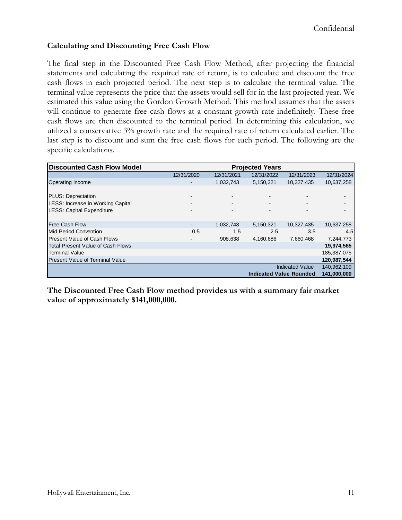#### <span id="page-10-0"></span>**Calculating and Discounting Free Cash Flow**

The final step in the Discounted Free Cash Flow Method, after projecting the financial statements and calculating the required rate of return, is to calculate and discount the free cash flows in each projected period. The next step is to calculate the terminal value. The terminal value represents the price that the assets would sell for in the last projected year. We estimated this value using the Gordon Growth Method. This method assumes that the assets will continue to generate free cash flows at a constant growth rate indefinitely. These free cash flows are then discounted to the terminal period. In determining this calculation, we utilized a conservative 3% growth rate and the required rate of return calculated earlier. The last step is to discount and sum the free cash flows for each period. The following are the specific calculations.

| <b>Discounted Cash Flow Model</b>        | <b>Projected Years</b>   |            |                                |                        |             |
|------------------------------------------|--------------------------|------------|--------------------------------|------------------------|-------------|
|                                          | 12/31/2020               | 12/31/2021 | 12/31/2022                     | 12/31/2023             | 12/31/2024  |
| Operating Income                         |                          | 1,032,743  | 5,150,321                      | 10,327,435             | 10,637,258  |
|                                          |                          |            |                                |                        |             |
| PLUS: Depreciation                       | $\overline{\phantom{0}}$ |            |                                |                        |             |
| LESS: Increase in Working Capital        |                          |            |                                |                        |             |
| <b>LESS: Capital Expenditure</b>         |                          |            |                                |                        |             |
|                                          |                          |            |                                |                        |             |
| <b>Free Cash Flow</b>                    |                          | 1,032,743  | 5,150,321                      | 10,327,435             | 10,637,258  |
| Mid Period Convention                    | 0.5                      | 1.5        | 2.5                            | 3.5                    | 4.5         |
| <b>Present Value of Cash Flows</b>       |                          | 908,638    | 4,160,686                      | 7,660,468              | 7,244,773   |
| <b>Total Present Value of Cash Flows</b> |                          |            |                                |                        | 19,974,565  |
| Terminal Value                           |                          |            |                                |                        | 185,387,075 |
| <b>Present Value of Terminal Value</b>   |                          |            |                                |                        | 120,987,544 |
|                                          |                          |            |                                | <b>Indicated Value</b> | 140,962,109 |
|                                          |                          |            | <b>Indicated Value Rounded</b> |                        | 141,000,000 |

**The Discounted Free Cash Flow method provides us with a summary fair market value of approximately \$141,000,000.**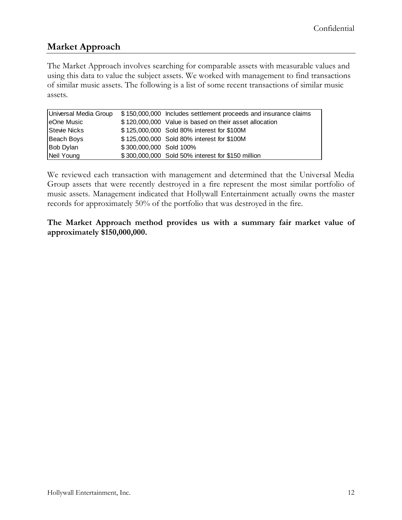### **Market Approach**

The Market Approach involves searching for comparable assets with measurable values and using this data to value the subject assets. We worked with management to find transactions of similar music assets. The following is a list of some recent transactions of similar music assets.

| Universal Media Group |                         | \$150,000,000 Includes settlement proceeds and insurance claims |
|-----------------------|-------------------------|-----------------------------------------------------------------|
| eOne Music            |                         | \$120,000,000 Value is based on their asset allocation          |
| Stevie Nicks          |                         | \$125,000,000 Sold 80% interest for \$100M                      |
| Beach Boys            |                         | \$125,000,000 Sold 80% interest for \$100M                      |
| Bob Dylan             | \$300,000,000 Sold 100% |                                                                 |
| Neil Young            |                         | \$300,000,000 Sold 50% interest for \$150 million               |

We reviewed each transaction with management and determined that the Universal Media Group assets that were recently destroyed in a fire represent the most similar portfolio of music assets. Management indicated that Hollywall Entertainment actually owns the master records for approximately 50% of the portfolio that was destroyed in the fire.

**The Market Approach method provides us with a summary fair market value of approximately \$150,000,000.**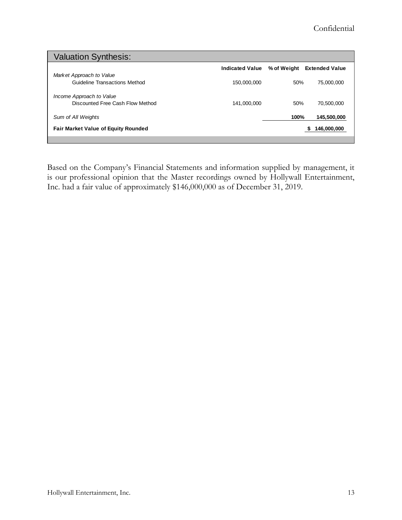| <b>Valuation Synthesis:</b>                |                        |             |                       |
|--------------------------------------------|------------------------|-------------|-----------------------|
|                                            | <b>Indicated Value</b> | % of Weight | <b>Extended Value</b> |
| Market Approach to Value                   |                        |             |                       |
| Guideline Transactions Method              | 150,000,000            | 50%         | 75.000.000            |
| Income Approach to Value                   |                        |             |                       |
| Discounted Free Cash Flow Method           | 141,000,000            | 50%         | 70,500,000            |
| Sum of All Weights                         |                        | 100%        | 145,500,000           |
| <b>Fair Market Value of Equity Rounded</b> |                        |             | 146,000,000<br>S      |
|                                            |                        |             |                       |

Based on the Company's Financial Statements and information supplied by management, it is our professional opinion that the Master recordings owned by Hollywall Entertainment, Inc. had a fair value of approximately \$146,000,000 as of December 31, 2019.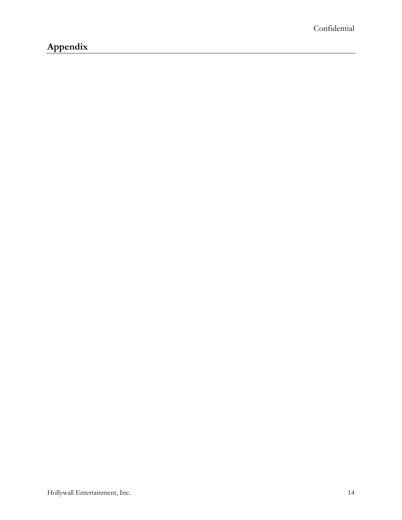## <span id="page-13-0"></span>**Appendix**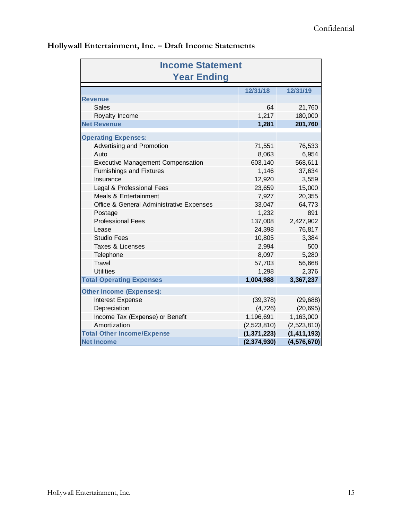| <b>Income Statement</b>                  |               |               |  |  |
|------------------------------------------|---------------|---------------|--|--|
| <b>Year Ending</b>                       |               |               |  |  |
|                                          | 12/31/18      | 12/31/19      |  |  |
| <b>Revenue</b>                           |               |               |  |  |
| <b>Sales</b>                             | 64            | 21,760        |  |  |
| Royalty Income                           | 1,217         | 180,000       |  |  |
| <b>Net Revenue</b>                       | 1,281         | 201,760       |  |  |
| <b>Operating Expenses:</b>               |               |               |  |  |
| Advertising and Promotion                | 71,551        | 76,533        |  |  |
| Auto                                     | 8,063         | 6,954         |  |  |
| <b>Executive Management Compensation</b> | 603,140       | 568,611       |  |  |
| <b>Furnishings and Fixtures</b>          | 1,146         | 37,634        |  |  |
| Insurance                                | 12,920        | 3,559         |  |  |
| Legal & Professional Fees                | 23,659        | 15,000        |  |  |
| Meals & Entertainment                    | 7,927         | 20,355        |  |  |
| Office & General Administrative Expenses | 33,047        | 64,773        |  |  |
| Postage                                  | 1,232         | 891           |  |  |
| <b>Professional Fees</b>                 | 137,008       | 2,427,902     |  |  |
| Lease                                    | 24,398        | 76,817        |  |  |
| <b>Studio Fees</b>                       | 10,805        | 3,384         |  |  |
| Taxes & Licenses                         | 2,994         | 500           |  |  |
| Telephone                                | 8,097         | 5,280         |  |  |
| <b>Travel</b>                            | 57,703        | 56,668        |  |  |
| <b>Utilities</b>                         | 1,298         | 2,376         |  |  |
| <b>Total Operating Expenses</b>          | 1,004,988     | 3,367,237     |  |  |
| <b>Other Income (Expenses):</b>          |               |               |  |  |
| Interest Expense                         | (39, 378)     | (29, 688)     |  |  |
| Depreciation                             | (4, 726)      | (20, 695)     |  |  |
| Income Tax (Expense) or Benefit          | 1,196,691     | 1,163,000     |  |  |
| Amortization                             | (2,523,810)   | (2,523,810)   |  |  |
| <b>Total Other Income/Expense</b>        | (1, 371, 223) | (1, 411, 193) |  |  |
| <b>Net Income</b>                        | (2, 374, 930) | (4, 576, 670) |  |  |

### **Hollywall Entertainment, Inc. – Draft Income Statements**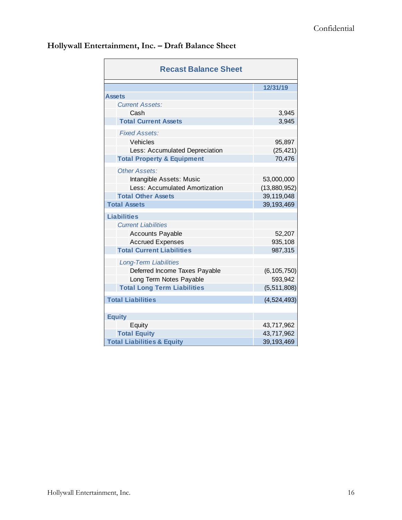| <b>Recast Balance Sheet</b>           |               |  |
|---------------------------------------|---------------|--|
|                                       | 12/31/19      |  |
| <b>Assets</b>                         |               |  |
| <b>Current Assets:</b>                |               |  |
| Cash                                  | 3,945         |  |
| <b>Total Current Assets</b>           | 3,945         |  |
| <b>Fixed Assets:</b>                  |               |  |
| Vehicles                              | 95,897        |  |
| Less: Accumulated Depreciation        | (25, 421)     |  |
| <b>Total Property &amp; Equipment</b> | 70,476        |  |
| Other Assets:                         |               |  |
| Intangible Assets: Music              | 53,000,000    |  |
| Less: Accumulated Amortization        | (13,880,952)  |  |
| <b>Total Other Assets</b>             | 39,119,048    |  |
| <b>Total Assets</b>                   | 39, 193, 469  |  |
| <b>Liabilities</b>                    |               |  |
| <b>Current Liabilities</b>            |               |  |
| <b>Accounts Payable</b>               | 52,207        |  |
| <b>Accrued Expenses</b>               | 935,108       |  |
| <b>Total Current Liabilities</b>      | 987,315       |  |
| <b>Long-Term Liabilities</b>          |               |  |
| Deferred Income Taxes Payable         | (6, 105, 750) |  |
| Long Term Notes Payable               | 593,942       |  |
| <b>Total Long Term Liabilities</b>    | (5,511,808)   |  |
| <b>Total Liabilities</b>              | (4, 524, 493) |  |
| <b>Equity</b>                         |               |  |
| Equity                                | 43,717,962    |  |
| <b>Total Equity</b>                   | 43,717,962    |  |
| <b>Total Liabilities &amp; Equity</b> | 39, 193, 469  |  |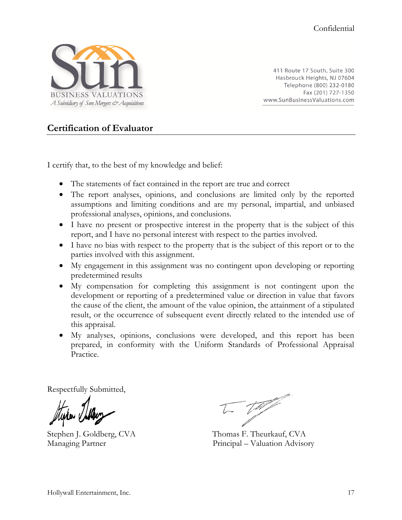

411 Route 17 South, Suite 300 Hasbrouck Heights, NJ 07604 Telephone (800) 232-0180 Fax (201) 727-1350 www.SunBusinessValuations.com

#### <span id="page-16-0"></span>**Certification of Evaluator**

I certify that, to the best of my knowledge and belief:

- The statements of fact contained in the report are true and correct
- The report analyses, opinions, and conclusions are limited only by the reported assumptions and limiting conditions and are my personal, impartial, and unbiased professional analyses, opinions, and conclusions.
- I have no present or prospective interest in the property that is the subject of this report, and I have no personal interest with respect to the parties involved.
- I have no bias with respect to the property that is the subject of this report or to the parties involved with this assignment.
- My engagement in this assignment was no contingent upon developing or reporting predetermined results
- My compensation for completing this assignment is not contingent upon the development or reporting of a predetermined value or direction in value that favors the cause of the client, the amount of the value opinion, the attainment of a stipulated result, or the occurrence of subsequent event directly related to the intended use of this appraisal.
- My analyses, opinions, conclusions were developed, and this report has been prepared, in conformity with the Uniform Standards of Professional Appraisal Practice.

Respectfully Submitted,

 $\sqrt{2}$ 

Stephen J. Goldberg, CVA Thomas F. Theurkauf, CVA Managing Partner Principal – Valuation Advisory